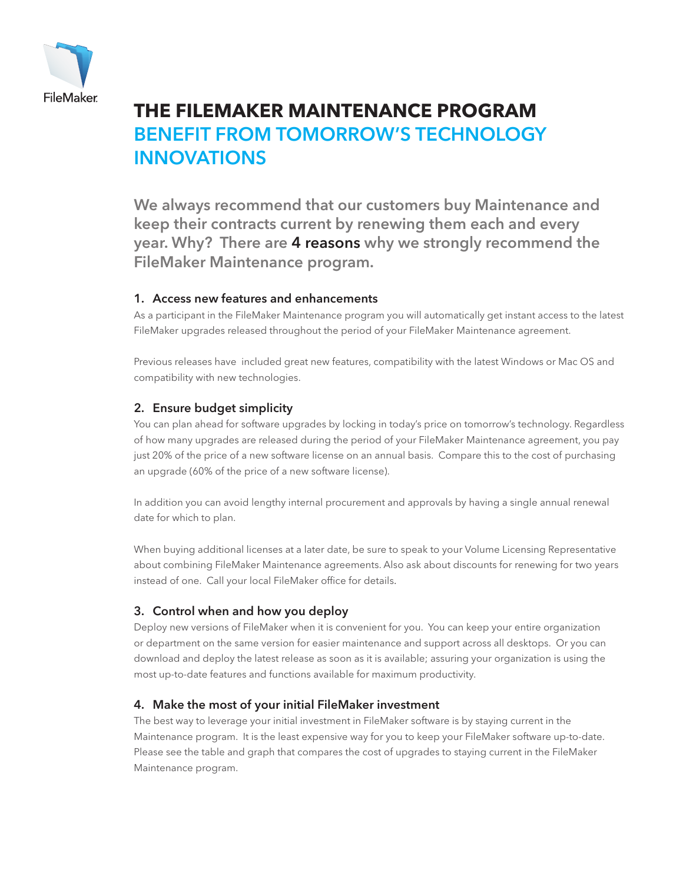

# **the FileMaker Maintenance program** Benefit from tomorrow's technology **INNOVATIONS**

We always recommend that our customers buy Maintenance and keep their contracts current by renewing them each and every year. Why? There are 4 reasons why we strongly recommend the FileMaker Maintenance program.

#### 1. Access new features and enhancements

As a participant in the FileMaker Maintenance program you will automatically get instant access to the latest FileMaker upgrades released throughout the period of your FileMaker Maintenance agreement.

Previous releases have included great new features, compatibility with the latest Windows or Mac OS and compatibility with new technologies.

### 2. Ensure budget simplicity

You can plan ahead for software upgrades by locking in today's price on tomorrow's technology. Regardless of how many upgrades are released during the period of your FileMaker Maintenance agreement, you pay just 20% of the price of a new software license on an annual basis. Compare this to the cost of purchasing an upgrade (60% of the price of a new software license).

In addition you can avoid lengthy internal procurement and approvals by having a single annual renewal date for which to plan.

When buying additional licenses at a later date, be sure to speak to your Volume Licensing Representative about combining FileMaker Maintenance agreements. Also ask about discounts for renewing for two years instead of one. Call your local FileMaker office for details.

#### 3. Control when and how you deploy

Deploy new versions of FileMaker when it is convenient for you. You can keep your entire organization or department on the same version for easier maintenance and support across all desktops. Or you can download and deploy the latest release as soon as it is available; assuring your organization is using the most up-to-date features and functions available for maximum productivity.

#### 4. Make the most of your initial FileMaker investment

The best way to leverage your initial investment in FileMaker software is by staying current in the Maintenance program. It is the least expensive way for you to keep your FileMaker software up-to-date. Please see the table and graph that compares the cost of upgrades to staying current in the FileMaker Maintenance program.